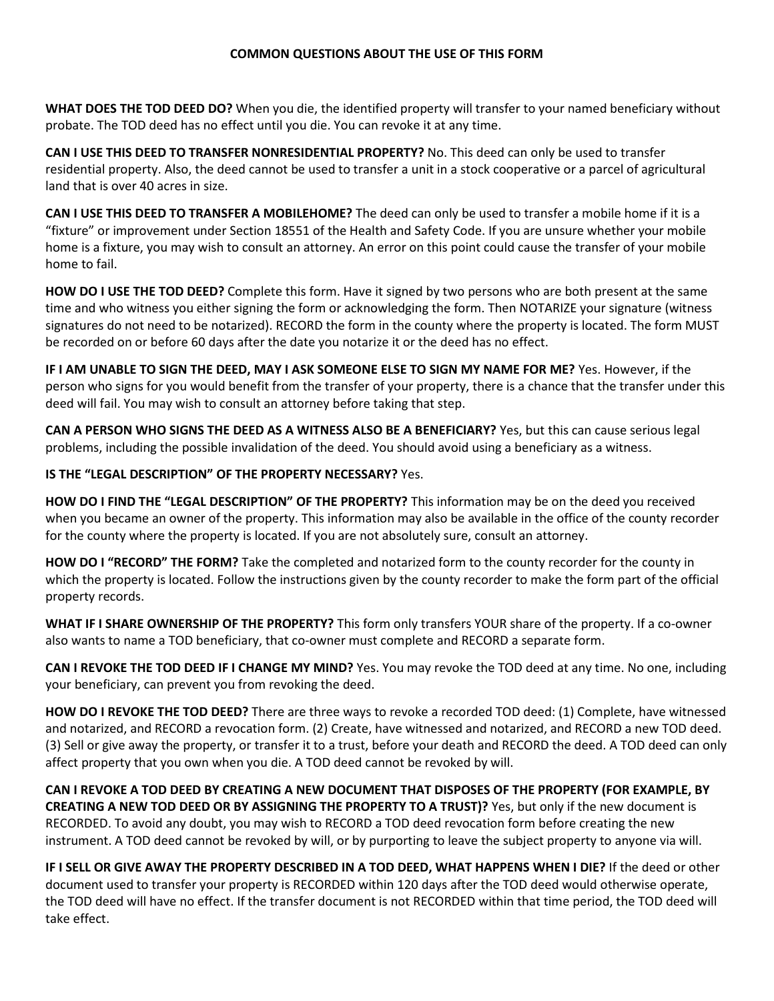## **COMMON QUESTIONS ABOUT THE USE OF THIS FORM**

**WHAT DOES THE TOD DEED DO?** When you die, the identified property will transfer to your named beneficiary without probate. The TOD deed has no effect until you die. You can revoke it at any time.

**CAN I USE THIS DEED TO TRANSFER NONRESIDENTIAL PROPERTY?** No. This deed can only be used to transfer residential property. Also, the deed cannot be used to transfer a unit in a stock cooperative or a parcel of agricultural land that is over 40 acres in size.

**CAN I USE THIS DEED TO TRANSFER A MOBILEHOME?** The deed can only be used to transfer a mobile home if it is a "fixture" or improvement under Section 18551 of the Health and Safety Code. If you are unsure whether your mobile home is a fixture, you may wish to consult an attorney. An error on this point could cause the transfer of your mobile home to fail.

**HOW DO I USE THE TOD DEED?** Complete this form. Have it signed by two persons who are both present at the same time and who witness you either signing the form or acknowledging the form. Then NOTARIZE your signature (witness signatures do not need to be notarized). RECORD the form in the county where the property is located. The form MUST be recorded on or before 60 days after the date you notarize it or the deed has no effect.

**IF I AM UNABLE TO SIGN THE DEED, MAY I ASK SOMEONE ELSE TO SIGN MY NAME FOR ME?** Yes. However, if the person who signs for you would benefit from the transfer of your property, there is a chance that the transfer under this deed will fail. You may wish to consult an attorney before taking that step.

**CAN A PERSON WHO SIGNS THE DEED AS A WITNESS ALSO BE A BENEFICIARY?** Yes, but this can cause serious legal problems, including the possible invalidation of the deed. You should avoid using a beneficiary as a witness.

## **IS THE "LEGAL DESCRIPTION" OF THE PROPERTY NECESSARY?** Yes.

**HOW DO I FIND THE "LEGAL DESCRIPTION" OF THE PROPERTY?** This information may be on the deed you received when you became an owner of the property. This information may also be available in the office of the county recorder for the county where the property is located. If you are not absolutely sure, consult an attorney.

**HOW DO I "RECORD" THE FORM?** Take the completed and notarized form to the county recorder for the county in which the property is located. Follow the instructions given by the county recorder to make the form part of the official property records.

**WHAT IF I SHARE OWNERSHIP OF THE PROPERTY?** This form only transfers YOUR share of the property. If a co-owner also wants to name a TOD beneficiary, that co-owner must complete and RECORD a separate form.

**CAN I REVOKE THE TOD DEED IF I CHANGE MY MIND?** Yes. You may revoke the TOD deed at any time. No one, including your beneficiary, can prevent you from revoking the deed.

**HOW DO I REVOKE THE TOD DEED?** There are three ways to revoke a recorded TOD deed: (1) Complete, have witnessed and notarized, and RECORD a revocation form. (2) Create, have witnessed and notarized, and RECORD a new TOD deed. (3) Sell or give away the property, or transfer it to a trust, before your death and RECORD the deed. A TOD deed can only affect property that you own when you die. A TOD deed cannot be revoked by will.

**CAN I REVOKE A TOD DEED BY CREATING A NEW DOCUMENT THAT DISPOSES OF THE PROPERTY (FOR EXAMPLE, BY CREATING A NEW TOD DEED OR BY ASSIGNING THE PROPERTY TO A TRUST)?** Yes, but only if the new document is RECORDED. To avoid any doubt, you may wish to RECORD a TOD deed revocation form before creating the new instrument. A TOD deed cannot be revoked by will, or by purporting to leave the subject property to anyone via will.

**IF I SELL OR GIVE AWAY THE PROPERTY DESCRIBED IN A TOD DEED, WHAT HAPPENS WHEN I DIE?** If the deed or other document used to transfer your property is RECORDED within 120 days after the TOD deed would otherwise operate, the TOD deed will have no effect. If the transfer document is not RECORDED within that time period, the TOD deed will take effect.